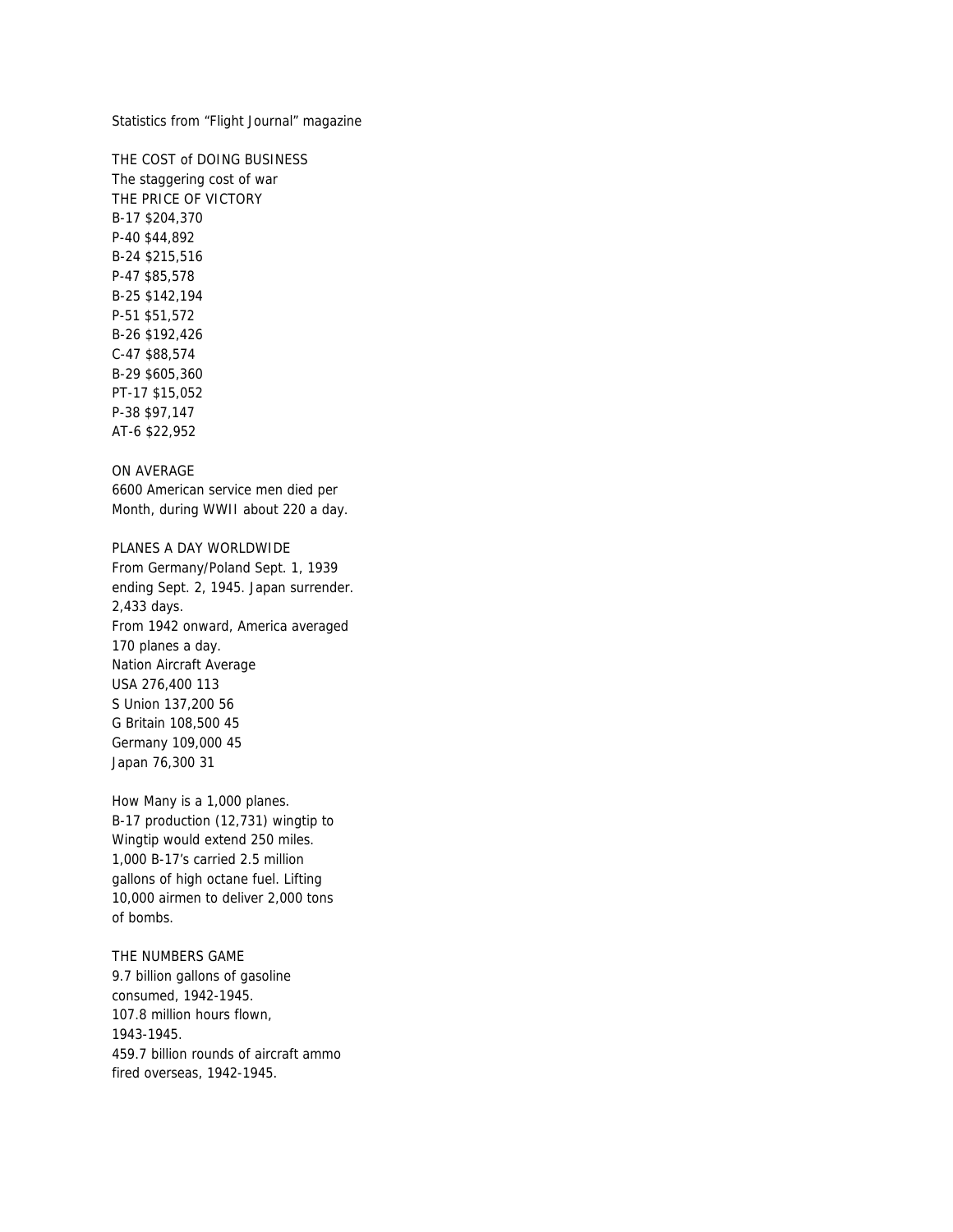Statistics from "Flight Journal" magazine

THE COST of DOING BUSINESS The staggering cost of war THE PRICE OF VICTORY B-17 \$204,370 P-40 \$44,892 B-24 \$215,516 P-47 \$85,578 B-25 \$142,194 P-51 \$51,572 B-26 \$192,426 C-47 \$88,574 B-29 \$605,360 PT-17 \$15,052 P-38 \$97,147 AT-6 \$22,952

# ON AVERAGE

6600 American service men died per Month, during WWII about 220 a day.

PLANES A DAY WORLDWIDE From Germany/Poland Sept. 1, 1939 ending Sept. 2, 1945. Japan surrender. 2,433 days. From 1942 onward, America averaged 170 planes a day. Nation Aircraft Average USA 276,400 113 S Union 137,200 56 G Britain 108,500 45 Germany 109,000 45 Japan 76,300 31

How Many is a 1,000 planes. B-17 production (12,731) wingtip to Wingtip would extend 250 miles. 1,000 B-17's carried 2.5 million gallons of high octane fuel. Lifting 10,000 airmen to deliver 2,000 tons of bombs.

THE NUMBERS GAME 9.7 billion gallons of gasoline consumed, 1942-1945. 107.8 million hours flown, 1943-1945. 459.7 billion rounds of aircraft ammo fired overseas, 1942-1945.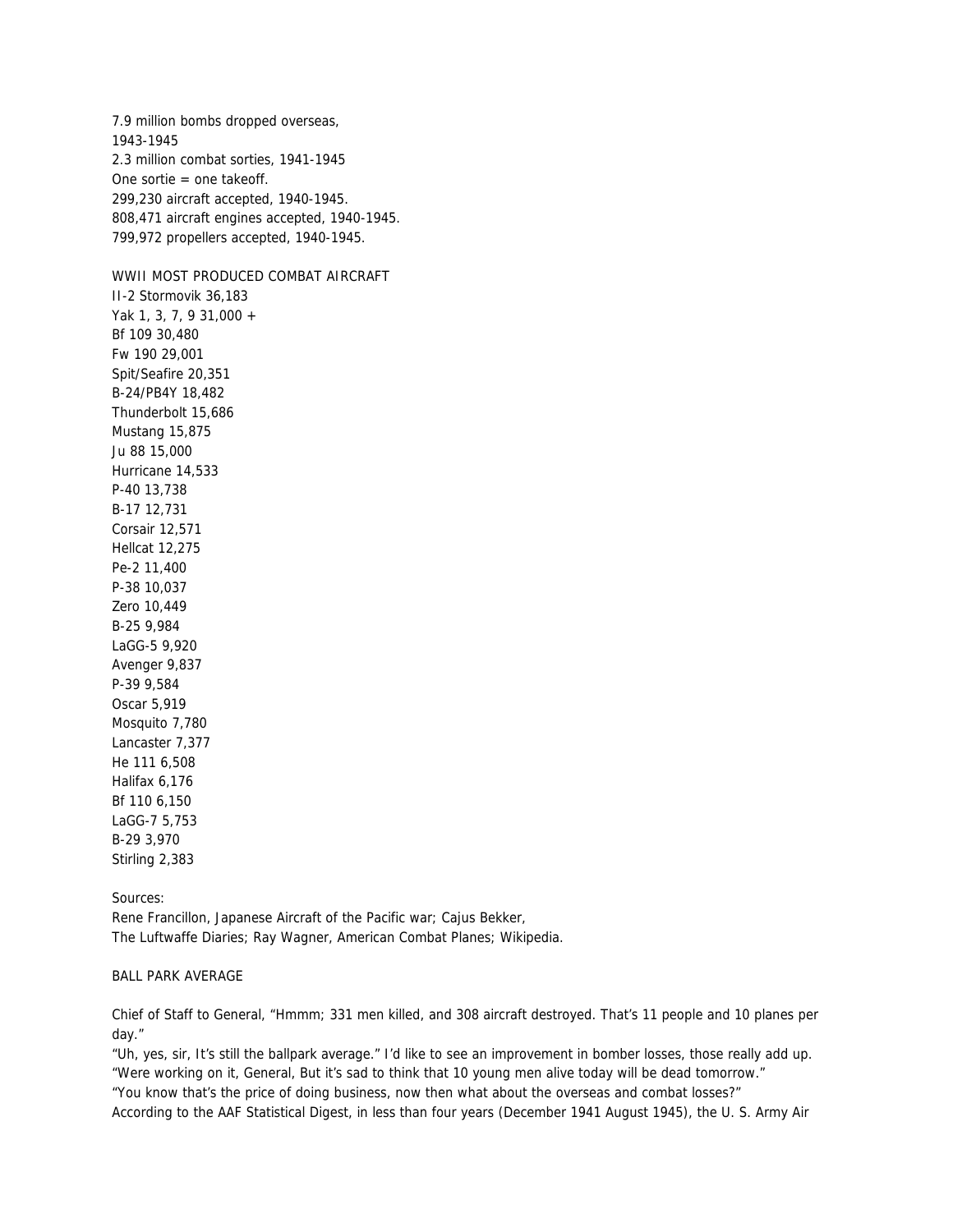7.9 million bombs dropped overseas, 1943-1945 2.3 million combat sorties, 1941-1945 One sortie = one takeoff. 299,230 aircraft accepted, 1940-1945. 808,471 aircraft engines accepted, 1940-1945. 799,972 propellers accepted, 1940-1945.

WWII MOST PRODUCED COMBAT AIRCRAFT II-2 Stormovik 36,183 Yak 1, 3, 7, 9 31,000 + Bf 109 30,480 Fw 190 29,001 Spit/Seafire 20,351 B-24/PB4Y 18,482 Thunderbolt 15,686 Mustang 15,875 Ju 88 15,000 Hurricane 14,533 P-40 13,738 B-17 12,731 Corsair 12,571 Hellcat 12,275 Pe-2 11,400 P-38 10,037 Zero 10,449 B-25 9,984 LaGG-5 9,920 Avenger 9,837 P-39 9,584 Oscar 5,919 Mosquito 7,780 Lancaster 7,377 He 111 6,508 Halifax 6,176 Bf 110 6,150

LaGG-7 5,753 B-29 3,970 Stirling 2,383

Sources:

Rene Francillon, Japanese Aircraft of the Pacific war; Cajus Bekker, The Luftwaffe Diaries; Ray Wagner, American Combat Planes; Wikipedia.

#### BALL PARK AVERAGE

Chief of Staff to General, "Hmmm; 331 men killed, and 308 aircraft destroyed. That's 11 people and 10 planes per day."

"Uh, yes, sir, It's still the ballpark average." I'd like to see an improvement in bomber losses, those really add up. "Were working on it, General, But it's sad to think that 10 young men alive today will be dead tomorrow."

"You know that's the price of doing business, now then what about the overseas and combat losses?" According to the AAF Statistical Digest, in less than four years (December 1941 August 1945), the U. S. Army Air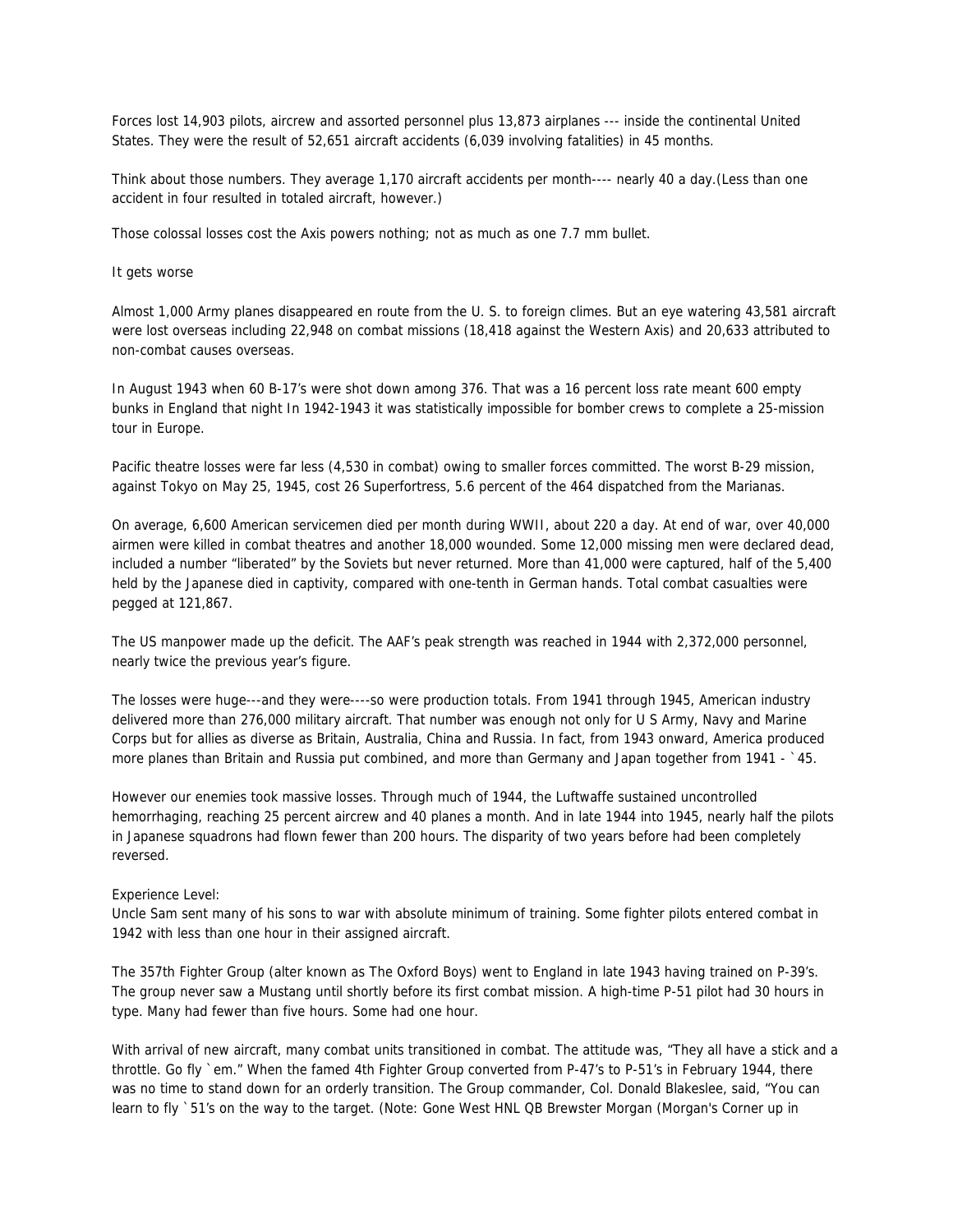Forces lost 14,903 pilots, aircrew and assorted personnel plus 13,873 airplanes --- inside the continental United States. They were the result of 52,651 aircraft accidents (6,039 involving fatalities) in 45 months.

Think about those numbers. They average 1,170 aircraft accidents per month---- nearly 40 a day.(Less than one accident in four resulted in totaled aircraft, however.)

Those colossal losses cost the Axis powers nothing; not as much as one 7.7 mm bullet.

It gets worse

Almost 1,000 Army planes disappeared en route from the U. S. to foreign climes. But an eye watering 43,581 aircraft were lost overseas including 22,948 on combat missions (18,418 against the Western Axis) and 20,633 attributed to non-combat causes overseas.

In August 1943 when 60 B-17's were shot down among 376. That was a 16 percent loss rate meant 600 empty bunks in England that night In 1942-1943 it was statistically impossible for bomber crews to complete a 25-mission tour in Europe.

Pacific theatre losses were far less (4,530 in combat) owing to smaller forces committed. The worst B-29 mission, against Tokyo on May 25, 1945, cost 26 Superfortress, 5.6 percent of the 464 dispatched from the Marianas.

On average, 6,600 American servicemen died per month during WWII, about 220 a day. At end of war, over 40,000 airmen were killed in combat theatres and another 18,000 wounded. Some 12,000 missing men were declared dead, included a number "liberated" by the Soviets but never returned. More than 41,000 were captured, half of the 5,400 held by the Japanese died in captivity, compared with one-tenth in German hands. Total combat casualties were pegged at 121,867.

The US manpower made up the deficit. The AAF's peak strength was reached in 1944 with 2,372,000 personnel, nearly twice the previous year's figure.

The losses were huge---and they were----so were production totals. From 1941 through 1945, American industry delivered more than 276,000 military aircraft. That number was enough not only for U S Army, Navy and Marine Corps but for allies as diverse as Britain, Australia, China and Russia. In fact, from 1943 onward, America produced more planes than Britain and Russia put combined, and more than Germany and Japan together from 1941 - `45.

However our enemies took massive losses. Through much of 1944, the Luftwaffe sustained uncontrolled hemorrhaging, reaching 25 percent aircrew and 40 planes a month. And in late 1944 into 1945, nearly half the pilots in Japanese squadrons had flown fewer than 200 hours. The disparity of two years before had been completely reversed.

#### Experience Level:

Uncle Sam sent many of his sons to war with absolute minimum of training. Some fighter pilots entered combat in 1942 with less than one hour in their assigned aircraft.

The 357th Fighter Group (alter known as The Oxford Boys) went to England in late 1943 having trained on P-39's. The group never saw a Mustang until shortly before its first combat mission. A high-time P-51 pilot had 30 hours in type. Many had fewer than five hours. Some had one hour.

With arrival of new aircraft, many combat units transitioned in combat. The attitude was, "They all have a stick and a throttle. Go fly `em." When the famed 4th Fighter Group converted from P-47's to P-51's in February 1944, there was no time to stand down for an orderly transition. The Group commander, Col. Donald Blakeslee, said, "You can learn to fly `51's on the way to the target. (Note: Gone West HNL QB Brewster Morgan (Morgan's Corner up in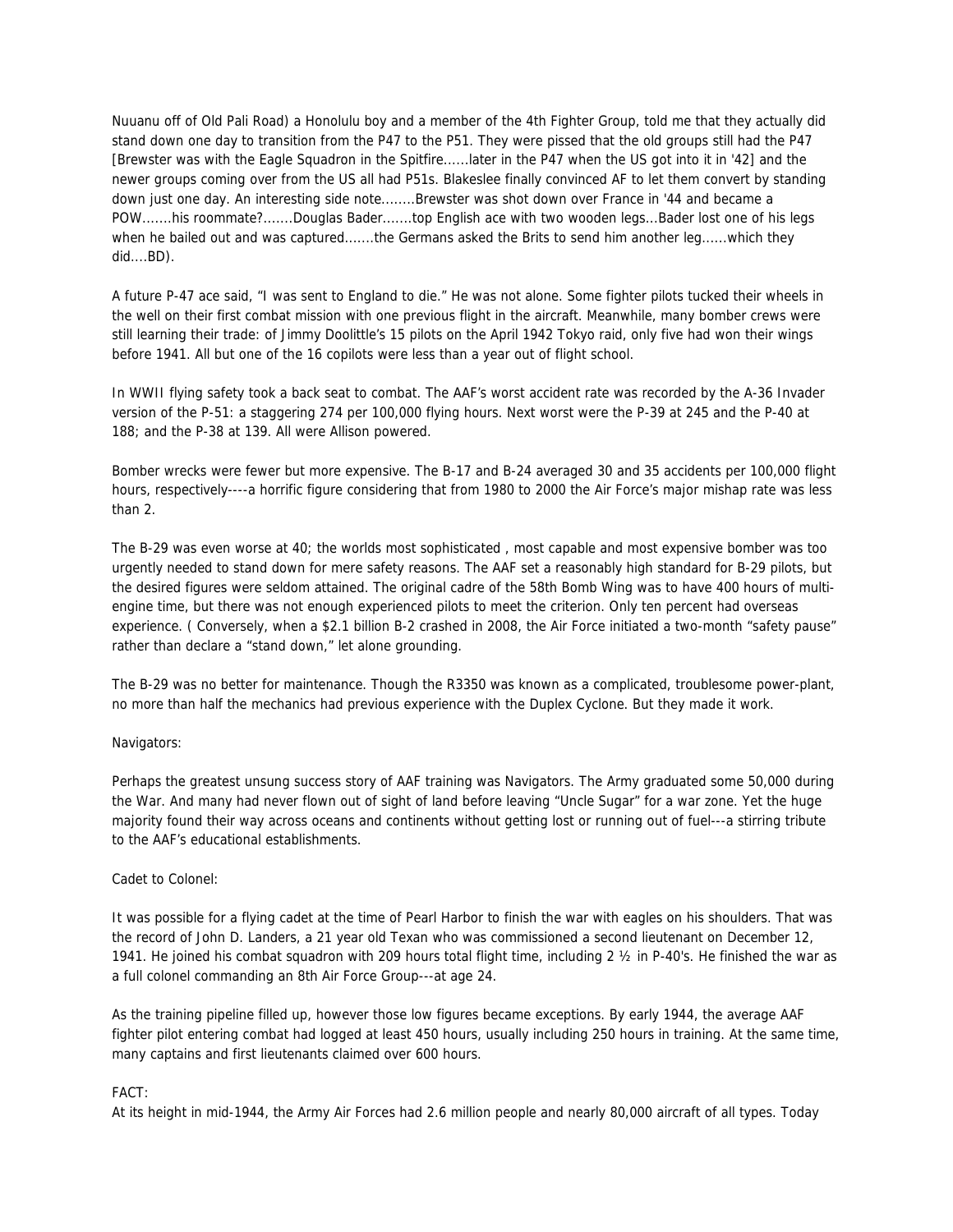Nuuanu off of Old Pali Road) a Honolulu boy and a member of the 4th Fighter Group, told me that they actually did stand down one day to transition from the P47 to the P51. They were pissed that the old groups still had the P47 [Brewster was with the Eagle Squadron in the Spitfire......later in the P47 when the US got into it in '42] and the newer groups coming over from the US all had P51s. Blakeslee finally convinced AF to let them convert by standing down just one day. An interesting side note........Brewster was shot down over France in '44 and became a POW.......his roommate?.......Douglas Bader.......top English ace with two wooden legs...Bader lost one of his legs when he bailed out and was captured.......the Germans asked the Brits to send him another leg......which they did....BD).

A future P-47 ace said, "I was sent to England to die." He was not alone. Some fighter pilots tucked their wheels in the well on their first combat mission with one previous flight in the aircraft. Meanwhile, many bomber crews were still learning their trade: of Jimmy Doolittle's 15 pilots on the April 1942 Tokyo raid, only five had won their wings before 1941. All but one of the 16 copilots were less than a year out of flight school.

In WWII flying safety took a back seat to combat. The AAF's worst accident rate was recorded by the A-36 Invader version of the P-51: a staggering 274 per 100,000 flying hours. Next worst were the P-39 at 245 and the P-40 at 188; and the P-38 at 139. All were Allison powered.

Bomber wrecks were fewer but more expensive. The B-17 and B-24 averaged 30 and 35 accidents per 100,000 flight hours, respectively----a horrific figure considering that from 1980 to 2000 the Air Force's major mishap rate was less than 2.

The B-29 was even worse at 40; the worlds most sophisticated , most capable and most expensive bomber was too urgently needed to stand down for mere safety reasons. The AAF set a reasonably high standard for B-29 pilots, but the desired figures were seldom attained. The original cadre of the 58th Bomb Wing was to have 400 hours of multiengine time, but there was not enough experienced pilots to meet the criterion. Only ten percent had overseas experience. ( Conversely, when a \$2.1 billion B-2 crashed in 2008, the Air Force initiated a two-month "safety pause" rather than declare a "stand down," let alone grounding.

The B-29 was no better for maintenance. Though the R3350 was known as a complicated, troublesome power-plant, no more than half the mechanics had previous experience with the Duplex Cyclone. But they made it work.

### Navigators:

Perhaps the greatest unsung success story of AAF training was Navigators. The Army graduated some 50,000 during the War. And many had never flown out of sight of land before leaving "Uncle Sugar" for a war zone. Yet the huge majority found their way across oceans and continents without getting lost or running out of fuel---a stirring tribute to the AAF's educational establishments.

### Cadet to Colonel:

It was possible for a flying cadet at the time of Pearl Harbor to finish the war with eagles on his shoulders. That was the record of John D. Landers, a 21 year old Texan who was commissioned a second lieutenant on December 12, 1941. He joined his combat squadron with 209 hours total flight time, including 2 ½ in P-40's. He finished the war as a full colonel commanding an 8th Air Force Group---at age 24.

As the training pipeline filled up, however those low figures became exceptions. By early 1944, the average AAF fighter pilot entering combat had logged at least 450 hours, usually including 250 hours in training. At the same time, many captains and first lieutenants claimed over 600 hours.

### FACT:

At its height in mid-1944, the Army Air Forces had 2.6 million people and nearly 80,000 aircraft of all types. Today